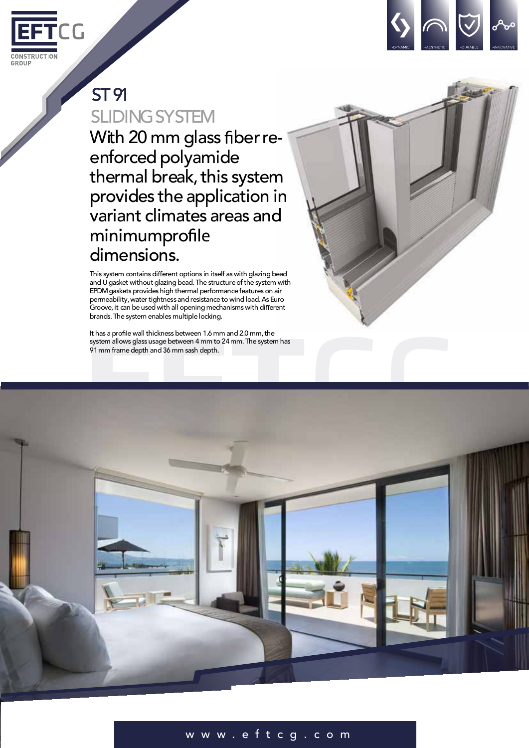



# ST91

**SLIDING SYSTEM** With 20 mm glass fiber reenforced polyamide thermal break, this system provides the application in variant climates areas and minimumpro dimensions.

This system contains different options in itself as with glazing bead and U gasket without glazing bead. The structure of the system with EPDMgaskets provides high thermal performance features on air permeability, water tightness and resistance to wind load. As Euro Groove, it can be used with all opening mechanisms with different brands.The system enables multiple locking.

It has a profile wall thickness between 1.6 mm and 2.0 mm, the system allows glass usage between 4 mm to 24 mm. The system has 91mm framedepth and 36 mm sash depth.



## w w w . e f t c g . c o m